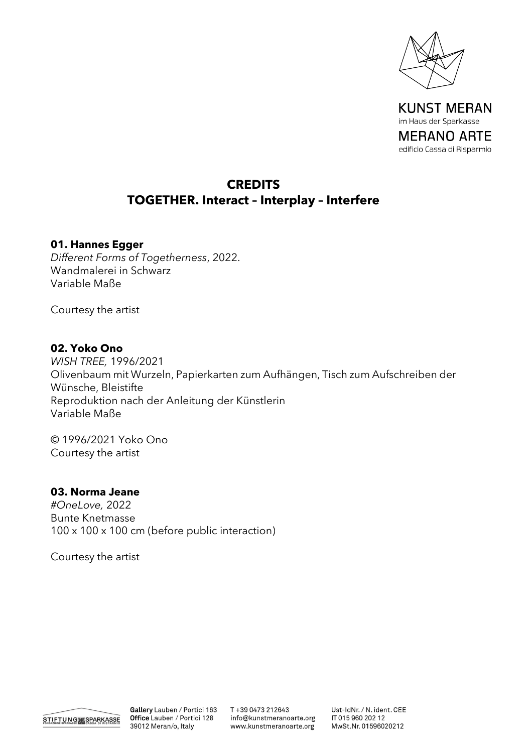

**KUNST MERAN** im Haus der Sparkasse **MERANO ARTE** edificio Cassa di Risparmio

# **CREDITS TOGETHER. Interact – Interplay – Interfere**

#### **01. Hannes Egger**

*Different Forms of Togetherness*, 2022. Wandmalerei in Schwarz Variable Maße

Courtesy the artist

#### **02. Yoko Ono**

*WISH TREE,* 1996/2021 Olivenbaum mit Wurzeln, Papierkarten zum Aufhängen, Tisch zum Aufschreiben der Wünsche, Bleistifte Reproduktion nach der Anleitung der Künstlerin Variable Maße

© 1996/2021 Yoko Ono Courtesy the artist

### **03. Norma Jeane**

*#OneLove,* 2022 Bunte Knetmasse 100 x 100 x 100 cm (before public interaction)

Courtesy the artist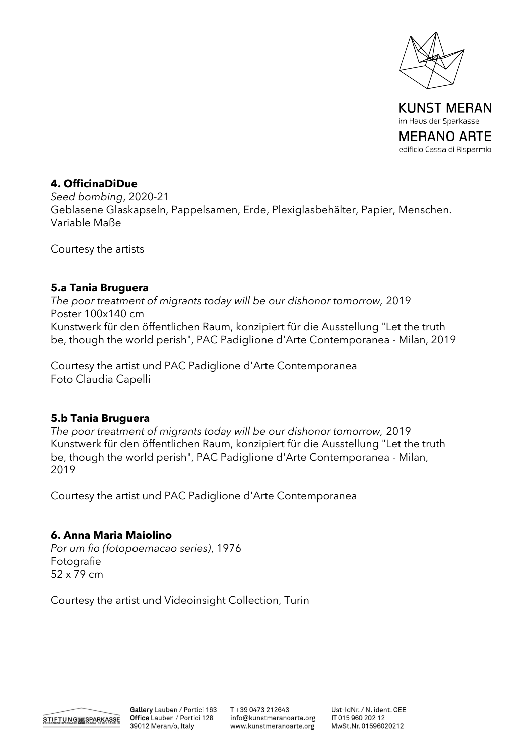

im Haus der Sparkasse MERANO ARTE edificio Cassa di Risparmio

# **4. OfficinaDiDue**

*Seed bombing*, 2020-21 Geblasene Glaskapseln, Pappelsamen, Erde, Plexiglasbehälter, Papier, Menschen. Variable Maße

Courtesy the artists

# **5.a Tania Bruguera**

*The poor treatment of migrants today will be our dishonor tomorrow,* 2019 Poster 100x140 cm Kunstwerk für den öffentlichen Raum, konzipiert für die Ausstellung "Let the truth be, though the world perish", PAC Padiglione d'Arte Contemporanea - Milan, 2019

Courtesy the artist und PAC Padiglione d'Arte Contemporanea Foto Claudia Capelli

# **5.b Tania Bruguera**

*The poor treatment of migrants today will be our dishonor tomorrow,* 2019 Kunstwerk für den öffentlichen Raum, konzipiert für die Ausstellung "Let the truth be, though the world perish", PAC Padiglione d'Arte Contemporanea - Milan, 2019

Courtesy the artist und PAC Padiglione d'Arte Contemporanea

# **6. Anna Maria Maiolino**

*Por um fio (fotopoemacao series)*, 1976 Fotografie 52 x 79 cm

Courtesy the artist und Videoinsight Collection, Turin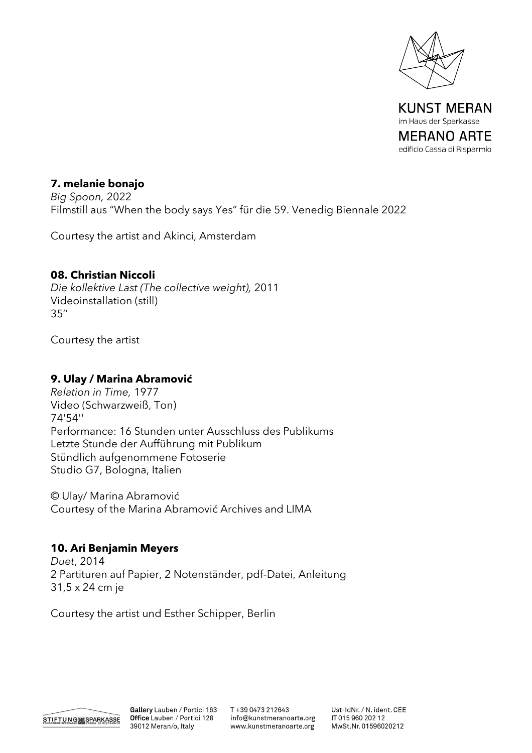

im Haus der Sparkasse MERANO ARTE edificio Cassa di Risparmio

# **7. melanie bonajo**

*Big Spoon,* 2022 Filmstill aus "When the body says Yes" für die 59. Venedig Biennale 2022

Courtesy the artist and Akinci, Amsterdam

### **08. Christian Niccoli**

*Die kollektive Last (The collective weight),* 2011 Videoinstallation (still) 35''

Courtesy the artist

# **9. Ulay / Marina Abramović**

*Relation in Time,* 1977 Video (Schwarzweiß, Ton) 74'54'' Performance: 16 Stunden unter Ausschluss des Publikums Letzte Stunde der Aufführung mit Publikum Stündlich aufgenommene Fotoserie Studio G7, Bologna, Italien

© Ulay/ Marina Abramović Courtesy of the Marina Abramović Archives and LIMA

# **10. Ari Benjamin Meyers**

*Duet*, 2014 2 Partituren auf Papier, 2 Notenständer, pdf-Datei, Anleitung 31,5 x 24 cm je

Courtesy the artist und Esther Schipper, Berlin